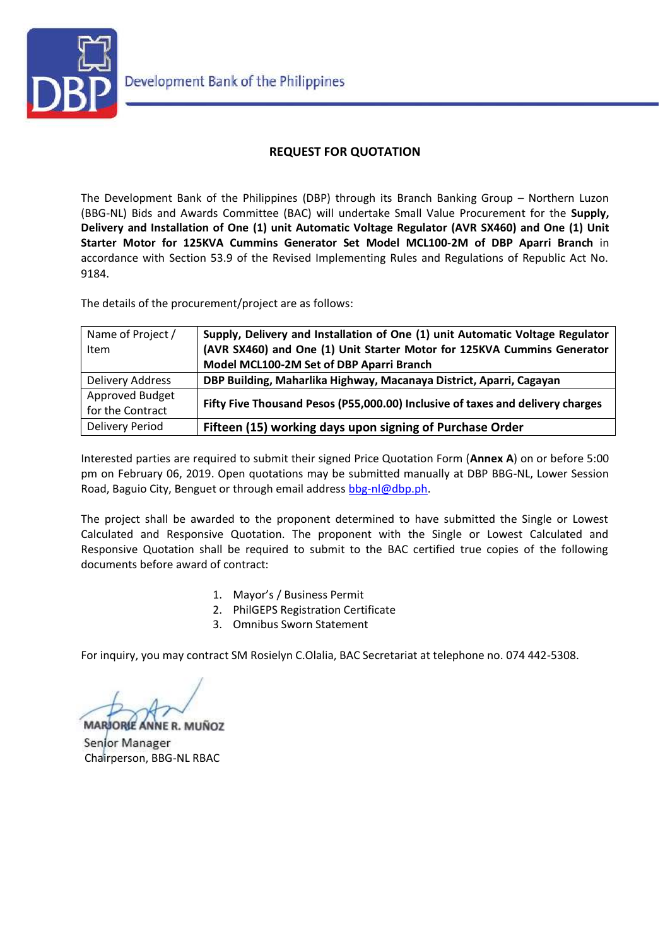

## **REQUEST FOR QUOTATION**

The Development Bank of the Philippines (DBP) through its Branch Banking Group – Northern Luzon (BBG-NL) Bids and Awards Committee (BAC) will undertake Small Value Procurement for the **Supply, Delivery and Installation of One (1) unit Automatic Voltage Regulator (AVR SX460) and One (1) Unit Starter Motor for 125KVA Cummins Generator Set Model MCL100-2M of DBP Aparri Branch** in accordance with Section 53.9 of the Revised Implementing Rules and Regulations of Republic Act No. 9184.

The details of the procurement/project are as follows:

| Name of Project / | Supply, Delivery and Installation of One (1) unit Automatic Voltage Regulator  |  |
|-------------------|--------------------------------------------------------------------------------|--|
| Item              | (AVR SX460) and One (1) Unit Starter Motor for 125KVA Cummins Generator        |  |
|                   | Model MCL100-2M Set of DBP Aparri Branch                                       |  |
| Delivery Address  | DBP Building, Maharlika Highway, Macanaya District, Aparri, Cagayan            |  |
| Approved Budget   | Fifty Five Thousand Pesos (P55,000.00) Inclusive of taxes and delivery charges |  |
| for the Contract  |                                                                                |  |
| Delivery Period   | Fifteen (15) working days upon signing of Purchase Order                       |  |

Interested parties are required to submit their signed Price Quotation Form (**Annex A**) on or before 5:00 pm on February 06, 2019. Open quotations may be submitted manually at DBP BBG-NL, Lower Session Road, Baguio City, Benguet or through email address [bbg-nl@dbp.ph.](mailto:bbg-nl@dbp.ph)

The project shall be awarded to the proponent determined to have submitted the Single or Lowest Calculated and Responsive Quotation. The proponent with the Single or Lowest Calculated and Responsive Quotation shall be required to submit to the BAC certified true copies of the following documents before award of contract:

- 1. Mayor's / Business Permit
- 2. PhilGEPS Registration Certificate
- 3. Omnibus Sworn Statement

For inquiry, you may contract SM Rosielyn C.Olalia, BAC Secretariat at telephone no. 074 442-5308.

**MARIORIE ANNE R. MUÑOZ** 

Senjor Manager Chairperson, BBG-NL RBAC